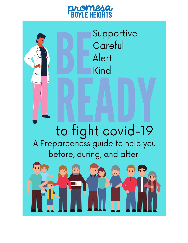# aromesa

Supportive

Careful Alert Kind to fight covid-19<br>A Preparedness guide to help you before, during, and after

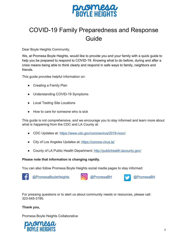

### COVID-19 Family Preparedness and Response Guide

Dear Boyle Heights Community,

We, at Promesa Boyle Heights, would like to provide you and your family with a quick guide to help you be prepared to respond to COVID-19. Knowing what to do before, during and after a crisis means being able to think clearly and respond in safe ways to family, neighbors and friends.

This guide provides helpful information on:

- Creating a Family Plan
- Understanding COVID-19 Symptoms
- Local Testing Site Locations
- How to care for someone who is sick

This guide is not comprehensive, and we encourage you to stay informed and learn more about what is happening from the CDC and LA County at:

- CDC Updates at: <https://www.cdc.gov/coronavirus/2019-ncov/>
- City of Los Angeles Updates at: <https://corona-virus.la/>
- County of LA Public Health Department: <http://publichealth.lacounty.gov/>

#### **Please note that information is changing rapidly.**

You can also follow Promesa Boyle Heights social media pages to stay informed:



For pressing questions or to alert us about community needs or resources, please call: 323-545-3195.

#### **Thank you,**

Promesa Boyle Heights Collaborative

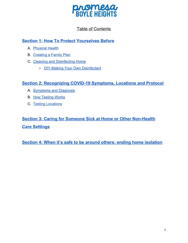

### Table of Contents

### **Section 1: How To Protect [Yourselves](#page-3-0) Before**

- A. [Physical Health](#page-3-1)
- B. [Creating a Family Plan](#page-3-2)
- C. [Cleaning and Disinfecting Home](#page-5-0)
	- [DIY-Making Your Own Disinfectant](#page-8-0)

#### **Section 2: [Recognizing](#page-8-1) COVID-19 Symptoms, Locations and Protocol**

- A. [Symptoms and Diagnosis](#page-9-0)
- B. [How Testing Works](#page-10-0)
- C. [Testing Locations](#page-11-0)

### **Section 3: Caring for Someone Sick at Home or Other [Non-Health](#page-12-0) Care [Settings](#page-12-0)**

**Section 4: When it's safe to be around others: ending home [isolation](#page-17-0)**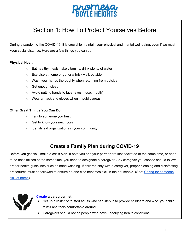

## <span id="page-3-0"></span>Section 1: How To Protect Yourselves Before

During a pandemic like COVID-19, it is crucial to maintain your physical and mental well-being, even if we must keep social distance. Here are a few things you can do:

#### <span id="page-3-1"></span>**Physical Health**

- Eat healthy meals, take vitamins, drink plenty of water
- Exercise at home or go for a brisk walk outside
- Wash your hands thoroughly when returning from outside
- Get enough sleep
- Avoid putting hands to face (eyes, nose, mouth)
- Wear a mask and gloves when in public areas

#### **Other Great Things You Can Do**

- Talk to someone you trust
- Get to know your neighbors
- Identify aid organizations in your community

### <span id="page-3-2"></span>**Create a Family Plan during COVID-19**

Before you get sick, make a crisis plan. If both you and your partner are incapacitated at the same time, or need to be hospitalized at the same time, you need to designate a caregiver. Any caregiver you choose should follow proper health guidelines such as hand washing. If children stay with a caregiver, proper cleaning and disinfecting procedures must be followed to ensure no one else becomes sick in the household. (See: Caring for someone sick at home)



#### **Create a caregiver list**

- Set up a roster of trusted adults who can step in to provide childcare and who your child trusts and feels comfortable around.
- Caregivers should not be people who have underlying health conditions.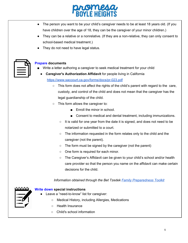

- The person you want to be your child's caregiver needs to be at least 18 years old. (If you have children over the age of 18, they can be the caregiver of your minor children.)
- They can be a relative or a nonrelative. (If they are a non-relative, they can only consent to school-based medical treatment.)
- They do not need to have legal status.



#### **Prepare documents**

- Write a letter authoring a caregiver to seek medical treatment for your child
- **Caregiver's Authorization Affidavit** for people living in California <https://www.saccourt.ca.gov/forms/docs/pr-023.pdf>
	- This form does not affect the rights of the child's parent with regard to the care, custody, and control of the child and does not mean that the caregiver has the legal guardianship of the child.
	- This form allows the caregiver to:
		- Enroll the minor in school.
		- Consent to medical and dental treatment, including immunizations.
		- It is valid for one year from the date it is signed, and does not need to be notarized or submitted to a court.
		- The information requested in the form relates only to the child and the caregiver (not the parent).
		- The form must be signed by the caregiver (not the parent)
		- One form is required for each minor.
		- The Caregiver's Affidavit can be given to your child's school and/or health care provider so that the person you name on the affidavit can make certain decisions for the child.

#### *Information obtained through the Bet Tzedek Family [Preparedness](http://www.bettzedek.org/our-services/rapid-response) Toolkit*



#### **Write down special instructions**

- Leave a "need-to-know" list for caregiver:
	- Medical History, including Allergies, Medications
	- Health Insurance
	- Child's school information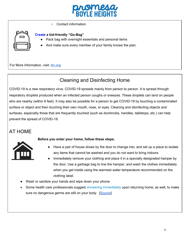

○ Contact information



#### **Create a kid-friendly "Go-Bag"**

- Pack bag with overnight essentials and personal items
- And make sure every member of your family knows the plan.

For More Information, visit: [ilrc.org](https://www.ilrc.org/sites/default/files/resources/fam_prep_train-20181109-infograph.pdf)

### <span id="page-5-0"></span>Cleaning and Disinfecting Home

COVID-19 is a new respiratory virus. COVID-19 spreads mainly from person to person. It is spread through respiratory droplets produced when an infected person coughs or sneezes. These droplets can land on people who are nearby (within 6 feet). It may also be possible for a person to get COVID-19 by touching a contaminated surface or object and then touching their own mouth, nose, or eyes. Cleaning and disinfecting objects and surfaces, especially those that are frequently touched (such as doorknobs, handles, tabletops, etc.) can help prevent the spread of COVID-19.

### AT HOME



#### **Before you enter your home, follow these steps.**

- Have a pair of house shoes by the door to change into, and set up a place to isolate any items that cannot be washed and you do not want to bring indoors.
- Immediately remove your clothing and place it in a specially designated hamper by the door. Use a garbage bag to line the hamper, and wash the clothes immediately when you get inside using the warmest water temperature recommended on the clothing label.
- Wash or sanitize your hands and wipe down your phone.
- Some health care professionals suggest showering [immediately](https://blockclubchicago.org/2020/03/27/have-an-essential-job-and-an-at-risk-person-living-at-home-heres-how-nurses-disinfect-to-protect-their-families/) upon returning home, as well, to make sure no dangerous germs are still on your body. [[Source\]](https://www.osfhealthcare.org/blog/essential-workers-how-to-protect-yourself-and-your-loved-ones/)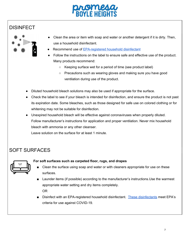

### DISINFECT



- Clean the area or item with soap and water or another detergent if it is dirty. Then, use a household disinfectant.
- Recommend use of [EPA-registered](https://www.epa.gov/pesticide-registration/list-n-disinfectants-use-against-sars-cov-2) household disinfectant
- Follow the instructions on the label to ensure safe and effective use of the product. Many products recommend:
	- Keeping surface wet for a period of time (see product label)
	- Precautions such as wearing gloves and making sure you have good ventilation during use of the product.
- Diluted household bleach solutions may also be used if appropriate for the surface.
- Check the label to see if your bleach is intended for disinfection, and ensure the product is not past its expiration date. Some bleaches, such as those designed for safe use on colored clothing or for whitening may not be suitable for disinfection.
- Unexpired household bleach will be effective against coronaviruses when properly diluted. Follow manufacturer's instructions for application and proper ventilation. Never mix household bleach with ammonia or any other cleanser.

Leave solution on the surface for at least 1 minute.

### SOFT SURFACES



#### **For soft surfaces such as carpeted floor, rugs, and drapes**

- Clean the surface using soap and water or with cleaners appropriate for use on these surfaces.
- Launder items (if possible) according to the manufacturer's instructions. Use the warmest appropriate water setting and dry items completely. OR
- Disinfect with an EPA-registered household disinfectant. These [disinfectants](https://www.epa.gov/pesticide-registration/list-n-disinfectants-use-against-sars-cov-2) meet EPA's criteria for use against COVID-19.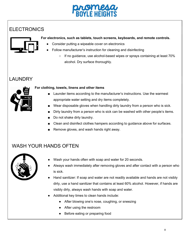

### **ELECTRONICS**

#### **For electronics, such as tablets, touch screens, keyboards, and remote controls.**



- Consider putting a wipeable cover on electronics
- Follow manufacturer's instruction for cleaning and disinfecting
	- $\circ$  If no guidance, use alcohol-based wipes or sprays containing at least 70% alcohol. Dry surface thoroughly.

### LAUNDRY



#### **For clothing, towels, linens and other items**

- Launder items according to the manufacturer's instructions. Use the warmest appropriate water setting and dry items completely.
- Wear disposable gloves when handling dirty laundry from a person who is sick.
- Dirty laundry from a person who is sick can be washed with other people's items.
- Do not shake dirty laundry.
- Clean and disinfect clothes hampers according to guidance above for surfaces.
- Remove gloves, and wash hands right away.

### WASH YOUR HANDS OFTEN



- Wash your hands often with soap and water for 20 seconds.
- Always wash immediately after removing gloves and after contact with a person who is sick.
- Hand sanitizer: If soap and water are not readily available and hands are not visibly dirty, use a hand sanitizer that contains at least 60% alcohol. However, if hands are visibly dirty, always wash hands with soap and water.
- Additional key times to clean hands include:
	- After blowing one's nose, coughing, or sneezing
	- After using the restroom
	- Before eating or preparing food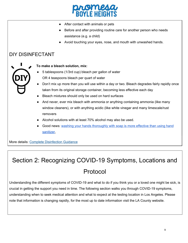

- After contact with animals or pets
- Before and after providing routine care for another person who needs assistance (e.g. a child)
- Avoid touching your eyes, nose, and mouth with unwashed hands.

### <span id="page-8-0"></span>DIY DISINFECTANT



#### **To make a bleach solution, mix:**

- 5 tablespoons (1/3rd cup) bleach per gallon of water OR 4 teaspoons bleach per quart of water
- Don't mix up more than you will use within a day or two. Bleach degrades fairly rapidly once taken from its original storage container, becoming less effective each day
- Bleach mixtures should only be used on hard surfaces
- And never, ever mix bleach with ammonia or anything containing ammonia (like many window cleaners), or with anything acidic (like white vinegar and many limescale/rust removers
- Alcohol solutions with at least 70% alcohol may also be used.
- Good news: washing your hands [thoroughly](https://www.cdc.gov/handwashing/show-me-the-science-hand-sanitizer.html) with soap is more effective than using hand [sanitizer,](https://www.cdc.gov/handwashing/show-me-the-science-hand-sanitizer.html)

More details: Complete [Disinfection](https://www.cdc.gov/coronavirus/2019-ncov/prevent-getting-sick/cleaning-disinfection.html) Guidance

# <span id="page-8-1"></span>Section 2: Recognizing COVID-19 Symptoms, Locations and Protocol

Understanding the different symptoms of COVID-19 and what to do if you think you or a loved one might be sick, is crucial in getting the support you need in time. The following section walks you through COVID-19 symptoms, understanding when to seek medical attention and what to expect at the testing location in Los Angeles. Please note that information is changing rapidly, for the most up to date information visit the LA County website.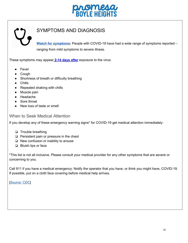

### <span id="page-9-0"></span>SYMPTOMS AND DIAGNOSIS

**Watch for [symptoms:](https://www.cdc.gov/coronavirus/2019-ncov/symptoms-testing/symptoms.html)** People with COVID-19 have had a wide range of symptoms reported – ranging from mild symptoms to severe illness.

These symptoms may appear **2-14 days after** exposure to the virus:

- Fever
- Cough
- Shortness of breath or difficulty breathing
- Chills
- Repeated shaking with chills
- Muscle pain
- Headache
- Sore throat
- New loss of taste or smell

#### When to Seek Medical Attention

If you develop any of these emergency warning signs\* for COVID-19 get medical attention immediately:

- ❏ Trouble breathing
- ❏ Persistent pain or pressure in the chest
- ❏ New confusion or inability to arouse
- ❏ Bluish lips or face

\*This list is not all inclusive. Please consult your medical provider for any other symptoms that are severe or concerning to you.

Call 911 if you have a medical emergency: Notify the operator that you have, or think you might have, COVID-19. If possible, put on a cloth face covering before medical help arrives.

[\[Source:](https://www.cdc.gov/coronavirus/2019-ncov/symptoms-testing/symptoms.html) CDC]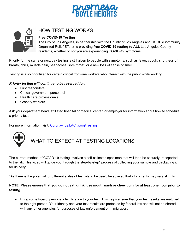



### <span id="page-10-0"></span>HOW TESTING WORKS

#### **Free COVID-19 Testing**

The City of Los Angeles, in partnership with the County of Los Angeles and CORE (Community Organized Relief Effort), is providing **free COVID-19 testing to ALL** Los Angeles County residents, whether or not you are experiencing COVID-19 symptoms.

Priority for the same or next day testing is still given to people with symptoms, such as fever, cough, shortness of breath, chills, muscle pain, headaches, sore throat, or a new loss of sense of smell.

Testing is also prioritized for certain critical front-line workers who interact with the public while working.

#### *Priority testing will continue to be reserved for:*

- First responders
- Critical government personnel
- Health care professionals
- Grocery workers

Ask your department head, affiliated hospital or medical center, or employer for information about how to schedule a priority test.

For more information, visit: [Coronavirus.LACity.org/Testing](http://coronavirus.lacity.org/Testing)



### WHAT TO EXPECT AT TESTING LOCATIONS

The current method of COVID-19 testing involves a self-collected specimen that will then be securely transported to the lab. This video will guide you through the step-by-step\* process of collecting your sample and packaging it for delivery.

\*As there is the potential for different styles of test kits to be used, be advised that kit contents may vary slightly.

NOTE: Please ensure that you do not eat, drink, use mouthwash or chew gum for at least one hour prior to **testing.**

● Bring some type of personal identification to your test. This helps ensure that your test results are matched to the right person. Your identity and your test results are protected by federal law and will not be shared with any other agencies for purposes of law enforcement or immigration.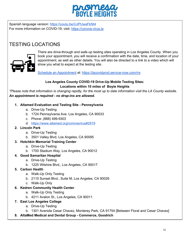

Spanish language version: <https://youtu.be/UJPUwaFkNt4> For more information on COVID-19, visit: [https://corona-virus.la](https://corona-virus.la/)

### <span id="page-11-0"></span>TESTING LOCATIONS



There are drive-through and walk-up testing sites operating in Los Angeles County. When you book your appointment, you will receive a confirmation with the date, time, and location of your appointment, as well as other details. You will also be directed to a link to a video which will show you what to expect at the testing site.

Schedule an [Appointment](https://lacovidprod.service-now.com/rrs#freetest) at: <https://lacovidprod.service-now.com/rrs>

#### **Los Angeles County COVID-19 Drive-Up Mobile Testing Sites: Locations within 10 miles of Boyle Heights**

\*Please note that information is changing rapidly, for the most up to date information visit the LA County website. *An appointment is required - no drop-ins are allowed.*

#### **1. Altamed Evaluation and Testing Site - Pennsylvania**

- a. Drive-Up Testing
- b. 1724 Pennsylvania Ave. Los Angeles, CA 90033
- c. Phone: (888) 499-9303
- d. <https://www.altamed.org/coronavirus#2919>

#### **2. Lincoln Park**

- a. Drive-Up Testing
- b. 3501 Valley Blvd. Los Angeles, CA 90095

#### **3. Hotchkin Memorial Training Center**

- a. Drive-Up Testing
- b. 1700 Stadium Way, Los Angeles, CA 90012
- **4. Good Samaritan Hospital**
	- a. Drive-Up Testing
		- b. 1225 Wilshire Blvd., Los Angeles, CA 90017

#### **5. Carbon Health**

- a. Walk-Up Only Testing
- b. 2110 Sunset Blvd., Suite M, Los Angeles, CA 90026
- c. Walk-Up Only

#### **6. Kedren Community Health Center**

- a. Walk-Up Only Testing
- b. 4211 Avalon St., Los Angeles, CA 90011
- **7. East Los Angeles College**
	- a. Drive-Up Testing
	- b. 1301 Avenida Cesar Chavez, Monterey Park, CA 91754 [Between Floral and Cesar Chavez]
- **8. AltaMed Medical and Dental Group - Commerce, Goodrich**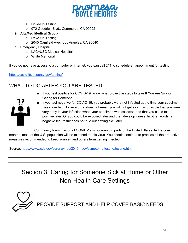

- a. Drive-Up Testing
- b. 972 Goodrich Blvd., Commerce, CA 90022

#### **9. AltaMed Medical Group**

- a. Drive-Up Testing
- b. 2040 Camfield Ave., Los Angeles, CA 90040
- 10. Emergency Hospital
	- a. LAC+USC Medical Hospital
	- b. White Memorial

If you do not have access to a computer or internet, you can call 211 to schedule an appointment for testing

#### <https://covid19.lacounty.gov/testing/>

### WHAT TO DO AFTER YOU ARE TESTED

■ If you test positive for COVID-19, know what protective steps to take If You Are Sick or Caring for Someone.



■ If you test negative for COVID-19, you probably were not infected at the time your specimen was collected. However, that does not mean you will not get sick. It is possible that you were very early in your infection when your specimen was collected and that you could test positive later. Or you could be exposed later and then develop illness. In other words, a negative test result does not rule out getting sick later.

Community transmission of COVID-19 is occurring in parts of the United States. In the coming months, most of the U.S. population will be exposed to this virus. You should continue to practice all the protective measures recommended to keep yourself and others from getting infected.

Source: <https://www.cdc.gov/coronavirus/2019-ncov/symptoms-testing/testing.html>

<span id="page-12-0"></span>Section 3: Caring for Someone Sick at Home or Other Non-Health Care Settings



PROVIDE SUPPORT AND HELP COVER BASIC NEEDS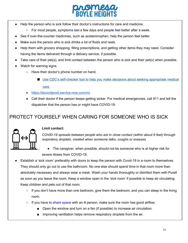

- Help the person who is sick follow their doctor's instructions for care and medicine.
	- For *most* people, symptoms last a few days and people feel better after a week.
- See if over-the-counter medicines, such as acetaminophen, help the person feel better.
- Make sure the person who is sick drinks a lot of fluids and rests.
- Help them with grocery shopping, filling prescriptions, and getting other items they may need. Consider having the items delivered through a delivery service, if possible.
- Take care of their pet(s), and limit contact between the person who is sick and their pet(s) when possible.
- Watch for warning signs
	- Have their doctor's phone number on hand.
		- Use CDC's [self-checker](https://www.cdc.gov/coronavirus/2019-ncov/symptoms-testing/index.html) tool to help you make decisions about seeking appropriate medical

[care.](https://www.cdc.gov/coronavirus/2019-ncov/symptoms-testing/index.html)

- <https://lacovidprod.service-now.com/rrs>
- Call their doctor if the person keeps getting sicker. For medical emergencies, call 911 and tell the dispatcher that the person has or might have COVID-19.

### PROTECT YOURSELF WHEN CARING FOR SOMEONE WHO IS SICK



#### **Limit contact:**

*COVID-19 spreads between people who are in close contact (within about 6 feet) through respiratory droplets, created when someone talks, coughs or sneezes*

- The caregiver, when possible, should not be someone who is at higher risk for severe illness from COVID-19.
- Establish a 'sick room' preferably with doors to keep the person with Covid-19 in a room to themselves. They should only go out to use the bathroom. No one else should spend time in that room more than absolutely necessary and always wear a mask. Wash your hands thoroughly or disinfect them with Purell as soon as you leave the room. Keep a window open in the 'sick room' if possible to keep air circulating. Keep children and pets out of that room.
	- If you don't have more than one bedroom, give them the bedroom, and you can sleep in the living room.
	- If you have to share space with an ill person, make sure the room has good airflow.
		- Open the window and turn on a fan (if possible) to increase air circulation.
		- Improving ventilation helps remove respiratory droplets from the air.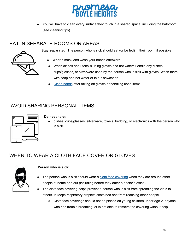

■ You will have to clean every surface they touch in a shared space, including the bathroom (see cleaning tips).

### EAT IN SEPARATE ROOMS OR AREAS



- **Stay separated:** The person who is sick should eat (or be fed) in their room, if possible.
	- Wear a mask and wash your hands afterward.
	- Wash dishes and utensils using gloves and hot water: Handle any dishes, cups/glasses, or silverware used by the person who is sick with gloves. Wash them with soap and hot water or in a dishwasher.
	- Clean [hands](https://www.cdc.gov/handwashing/when-how-handwashing.html) after taking off gloves or handling used items.

### AVOID SHARING PERSONAL ITEMS



#### **Do not share:**

● dishes, cups/glasses, silverware, towels, bedding, or electronics with the person who is sick.

### WHEN TO WEAR A CLOTH FACE COVER OR GLOVES



#### **Person who is sick:**

- The person who is sick should wear a cloth face [covering](https://www.cdc.gov/coronavirus/2019-ncov/prevent-getting-sick/diy-cloth-face-coverings.html) when they are around other people at home and out (including before they enter a doctor's office).
- The cloth face covering helps prevent a person who is sick from spreading the virus to others. It keeps respiratory droplets contained and from reaching other people.
	- Cloth face coverings should not be placed on young children under age 2, anyone who has trouble breathing, or is not able to remove the covering without help.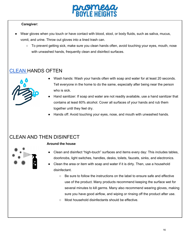

#### **Caregiver:**

- Wear gloves when you touch or have contact with blood, stool, or body fluids, such as saliva, mucus, vomit, and urine. Throw out gloves into a lined trash can.
	- $\circ$  To prevent getting sick, make sure you clean hands often, avoid touching your eyes, mouth, nose with unwashed hands, frequently clean and disinfect surfaces.

### [CLEAN](https://www.cdc.gov/handwashing/when-how-handwashing.html) HANDS OFTEN



- Wash hands: Wash your hands often with soap and water for at least 20 seconds. Tell everyone in the home to do the same, especially after being near the person who is sick.
- Hand sanitizer: If soap and water are not readily available, use a hand sanitizer that contains at least 60% alcohol. Cover all surfaces of your hands and rub them together until they feel dry.
- Hands off: Avoid touching your eyes, nose, and mouth with unwashed hands.

### CLEAN AND THEN DISINFECT

#### **Around the house**

- Clean and disinfect "high-touch" surfaces and items every day: This includes tables, doorknobs, light switches, handles, desks, toilets, faucets, sinks, and electronics.
- Clean the area or item with soap and water if it is dirty. Then, use a household disinfectant.
	- $\circ$  Be sure to follow the instructions on the label to ensure safe and effective use of the product. Many products recommend keeping the surface wet for several minutes to kill germs. Many also recommend wearing gloves, making sure you have good airflow, and wiping or rinsing off the product after use.
	- Most household disinfectants should be effective.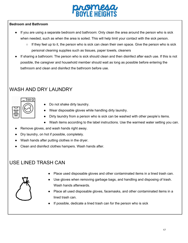#### **Bedroom and Bathroom**

- If you are using a separate bedroom and bathroom: Only clean the area around the person who is sick when needed, such as when the area is soiled. This will help limit your contact with the sick person.
	- $\circ$  If they feel up to it, the person who is sick can clean their own space. Give the person who is sick personal cleaning supplies such as tissues, paper towels, cleaners
- If sharing a bathroom: The person who is sick should clean and then disinfect after each use. If this is not possible, the caregiver and household member should wait as long as possible before entering the bathroom and clean and disinfect the bathroom before use.

### WASH AND DRY LAUNDRY



- Do not shake dirty laundry.
- Wear disposable gloves while handling dirty laundry.
- Dirty laundry from a person who is sick can be washed with other people's items.
- Wash items according to the label instructions. Use the warmest water setting you can.
- Remove gloves, and wash hands right away.
- Dry laundry, on hot if possible, completely.
- Wash hands after putting clothes in the dryer.
- Clean and disinfect clothes hampers. Wash hands after.

### USE LINED TRASH CAN



- Place used disposable gloves and other contaminated items in a lined trash can.
- Use gloves when removing garbage bags, and handling and disposing of trash. Wash hands afterwards.
- Place all used disposable gloves, facemasks, and other contaminated items in a lined trash can.
- If possible, dedicate a lined trash can for the person who is sick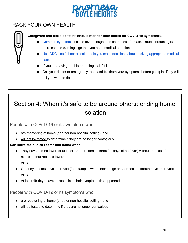### TRACK YOUR OWN HEALTH

**Caregivers and close contacts should monitor their health for COVID-19 symptoms.**

- Common [symptoms](https://www.cdc.gov/coronavirus/2019-ncov/symptoms-testing/symptoms.html) include fever, cough, and shortness of breath. Trouble breathing is a more serious warning sign that you need medical attention.
- Use CDC's [self-checker](https://www.cdc.gov/coronavirus/2019-ncov/symptoms-testing/index.html) tool to help you make decisions about seeking appropriate medical [care.](https://www.cdc.gov/coronavirus/2019-ncov/symptoms-testing/index.html)
- If you are having trouble breathing, call 911.
- Call your doctor or emergency room and tell them your symptoms before going in. They will tell you what to do.

# <span id="page-17-0"></span>Section 4: When it's safe to be around others: ending home isolation

People with COVID-19 or its symptoms who:

- are recovering at home (or other non-hospital setting), and
- will not be tested to determine if they are no longer contagious

#### **Can leave their "sick room" and home when:**

- They have had no fever for at least 72 hours (that is three full days of no fever) without the use of medicine that reduces fevers AND
- Other symptoms have improved (for example, when their cough or shortness of breath have improved) AND
- At least **10 days** have passed since their symptoms first appeared

People with COVID-19 or its symptoms who:

- are recovering at home (or other non-hospital setting), and
- will be tested to determine if they are no longer contagious